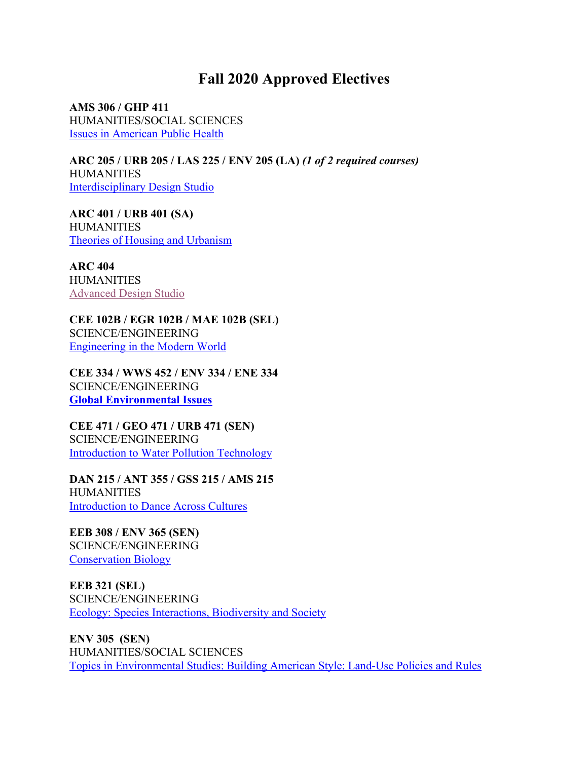## **Fall 2020 Approved Electives**

**AMS 306 / GHP 411**  HUMANITIES/SOCIAL SCIENCES Issues in American Public Health

**ARC 205 / URB 205 / LAS 225 / ENV 205 (LA)** *(1 of 2 required courses)* **HUMANITIES** Interdisciplinary Design Studio

**ARC 401 / URB 401 (SA) HUMANITIES** Theories of Housing and Urbanism

**ARC 404 HUMANITIES** Advanced Design Studio

**CEE 102B / EGR 102B / MAE 102B (SEL)** SCIENCE/ENGINEERING Engineering in the Modern World

**CEE 334 / WWS 452 / ENV 334 / ENE 334** SCIENCE/ENGINEERING **Global Environmental Issues**

**CEE 471 / GEO 471 / URB 471 (SEN)** SCIENCE/ENGINEERING Introduction to Water Pollution Technology

**DAN 215 / ANT 355 / GSS 215 / AMS 215 HUMANITIES** Introduction to Dance Across Cultures

**EEB 308 / ENV 365 (SEN)** SCIENCE/ENGINEERING Conservation Biology

**EEB 321 (SEL)** SCIENCE/ENGINEERING Ecology: Species Interactions, Biodiversity and Society

**ENV 305 (SEN)** HUMANITIES/SOCIAL SCIENCES Topics in Environmental Studies: Building American Style: Land-Use Policies and Rules